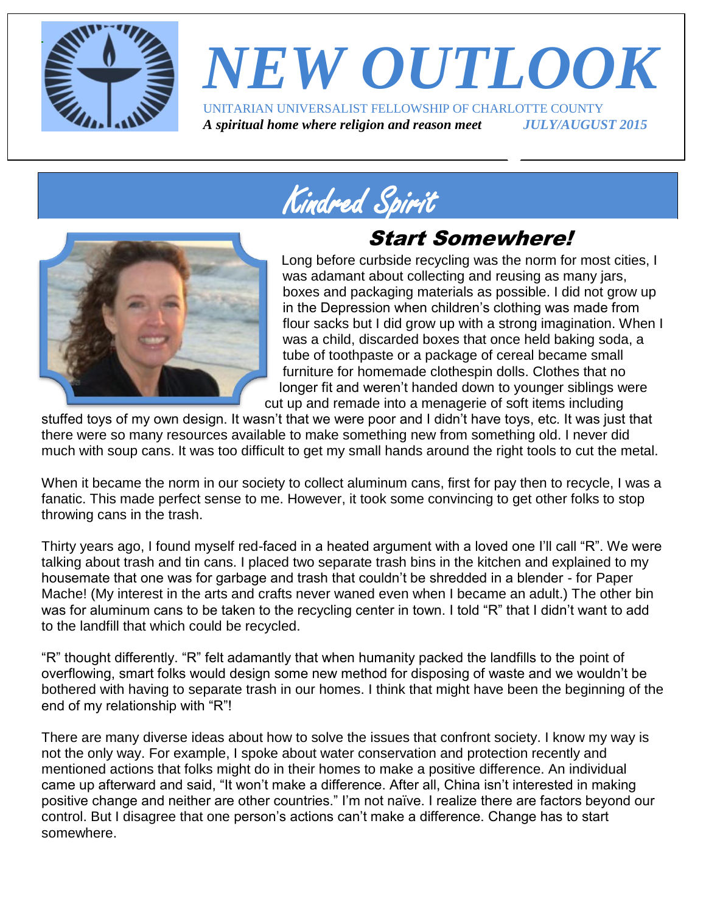

# *NEW OUTLOOK* UNITARIAN UNIVERSALIST FELLOWSHIP OF CHARLOTTE COUNTY

*A spiritual home where religion and reason meet JULY/AUGUST 2015*

Kindred Spirit

### Start Somewhere!



Long before curbside recycling was the norm for most cities, I was adamant about collecting and reusing as many jars, boxes and packaging materials as possible. I did not grow up in the Depression when children's clothing was made from flour sacks but I did grow up with a strong imagination. When I was a child, discarded boxes that once held baking soda, a tube of toothpaste or a package of cereal became small furniture for homemade clothespin dolls. Clothes that no longer fit and weren't handed down to younger siblings were cut up and remade into a menagerie of soft items including

stuffed toys of my own design. It wasn't that we were poor and I didn't have toys, etc. It was just that there were so many resources available to make something new from something old. I never did much with soup cans. It was too difficult to get my small hands around the right tools to cut the metal.

When it became the norm in our society to collect aluminum cans, first for pay then to recycle, I was a fanatic. This made perfect sense to me. However, it took some convincing to get other folks to stop throwing cans in the trash.

Thirty years ago, I found myself red-faced in a heated argument with a loved one I'll call "R". We were talking about trash and tin cans. I placed two separate trash bins in the kitchen and explained to my housemate that one was for garbage and trash that couldn't be shredded in a blender - for Paper Mache! (My interest in the arts and crafts never waned even when I became an adult.) The other bin was for aluminum cans to be taken to the recycling center in town. I told "R" that I didn't want to add to the landfill that which could be recycled.

"R" thought differently. "R" felt adamantly that when humanity packed the landfills to the point of overflowing, smart folks would design some new method for disposing of waste and we wouldn't be bothered with having to separate trash in our homes. I think that might have been the beginning of the end of my relationship with "R"!

There are many diverse ideas about how to solve the issues that confront society. I know my way is not the only way. For example, I spoke about water conservation and protection recently and mentioned actions that folks might do in their homes to make a positive difference. An individual came up afterward and said, "It won't make a difference. After all, China isn't interested in making positive change and neither are other countries." I'm not naïve. I realize there are factors beyond our control. But I disagree that one person's actions can't make a difference. Change has to start somewhere.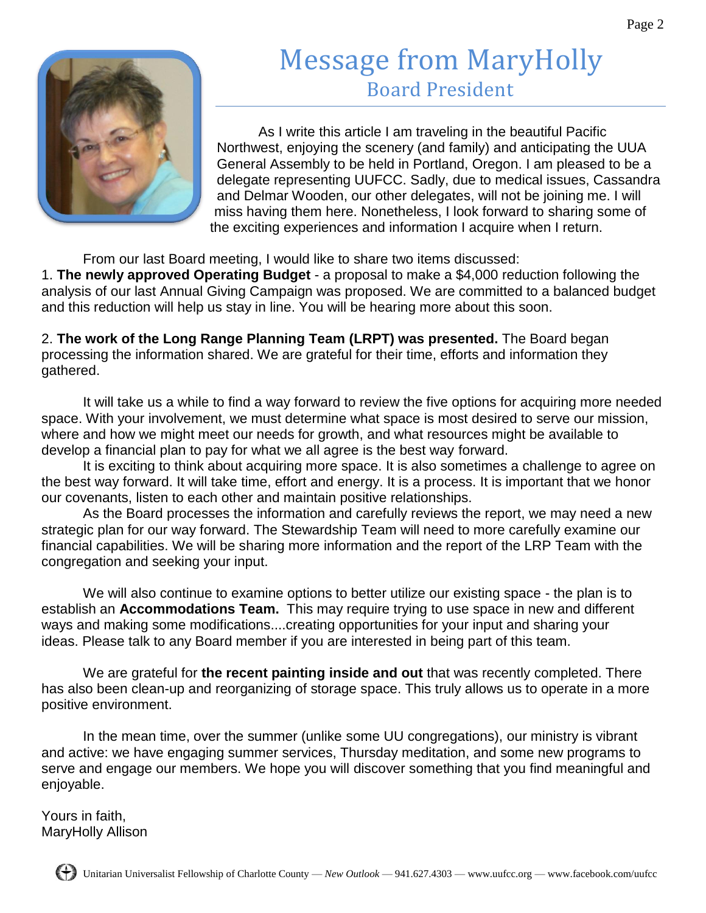## Message from MaryHolly Board President



As I write this article I am traveling in the beautiful Pacific Northwest, enjoying the scenery (and family) and anticipating the UUA General Assembly to be held in Portland, Oregon. I am pleased to be a delegate representing UUFCC. Sadly, due to medical issues, Cassandra and Delmar Wooden, our other delegates, will not be joining me. I will miss having them here. Nonetheless, I look forward to sharing some of the exciting experiences and information I acquire when I return.

From our last Board meeting, I would like to share two items discussed:

1. **The newly approved Operating Budget** - a proposal to make a \$4,000 reduction following the analysis of our last Annual Giving Campaign was proposed. We are committed to a balanced budget and this reduction will help us stay in line. You will be hearing more about this soon.

2. **The work of the Long Range Planning Team (LRPT) was presented.** The Board began processing the information shared. We are grateful for their time, efforts and information they gathered.

It will take us a while to find a way forward to review the five options for acquiring more needed space. With your involvement, we must determine what space is most desired to serve our mission, where and how we might meet our needs for growth, and what resources might be available to develop a financial plan to pay for what we all agree is the best way forward.

It is exciting to think about acquiring more space. It is also sometimes a challenge to agree on the best way forward. It will take time, effort and energy. It is a process. It is important that we honor our covenants, listen to each other and maintain positive relationships.

As the Board processes the information and carefully reviews the report, we may need a new strategic plan for our way forward. The Stewardship Team will need to more carefully examine our financial capabilities. We will be sharing more information and the report of the LRP Team with the congregation and seeking your input.

We will also continue to examine options to better utilize our existing space - the plan is to establish an **Accommodations Team.** This may require trying to use space in new and different ways and making some modifications....creating opportunities for your input and sharing your ideas. Please talk to any Board member if you are interested in being part of this team.

We are grateful for **the recent painting inside and out** that was recently completed. There has also been clean-up and reorganizing of storage space. This truly allows us to operate in a more positive environment.

In the mean time, over the summer (unlike some UU congregations), our ministry is vibrant and active: we have engaging summer services, Thursday meditation, and some new programs to serve and engage our members. We hope you will discover something that you find meaningful and enjoyable.

Yours in faith, MaryHolly Allison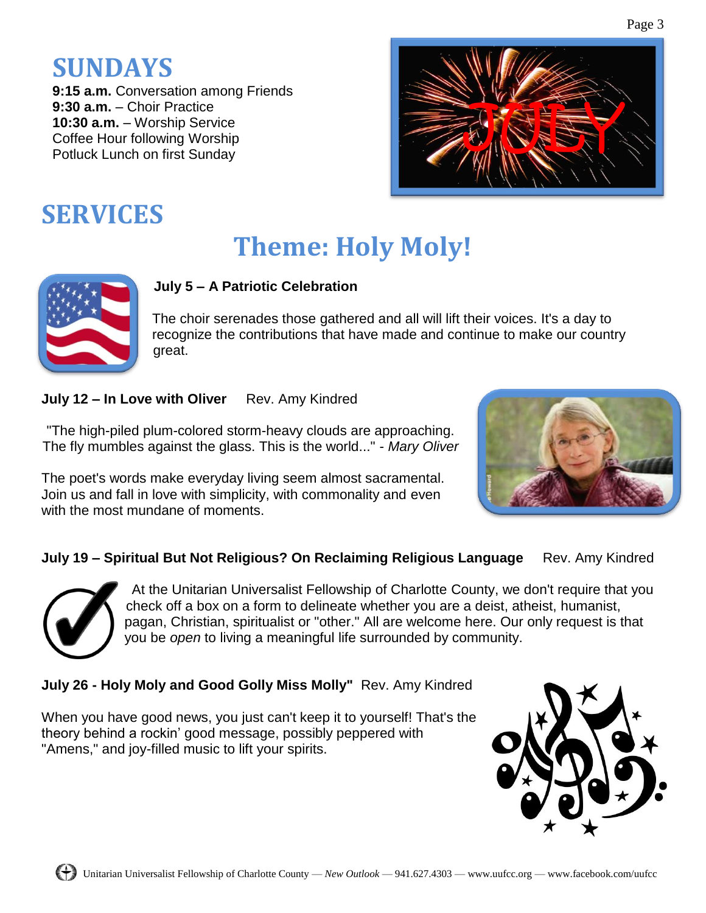## **SUNDAYS**

**9:15 a.m.** Conversation among Friends **9:30 a.m.** – Choir Practice **10:30 a.m.** – Worship Service Coffee Hour following Worship Potluck Lunch on first Sunday



## **SERVICES**

## **Theme: Holy Moly!**



#### **July 5 – A Patriotic Celebration**

The choir serenades those gathered and all will lift their voices. It's a day to recognize the contributions that have made and continue to make our country great.

**July 12 – In Love with Oliver** Rev. Amy Kindred

"The high-piled plum-colored storm-heavy clouds are approaching. The fly mumbles against the glass. This is the world..." - *Mary Oliver*

The poet's words make everyday living seem almost sacramental. Join us and fall in love with simplicity, with commonality and even with the most mundane of moments.



#### **July 19 - Spiritual But Not Religious? On Reclaiming Religious Language** Rev. Amy Kindred



At the Unitarian Universalist Fellowship of Charlotte County, we don't require that you check off a box on a form to delineate whether you are a deist, atheist, humanist, pagan, Christian, spiritualist or "other." All are welcome here. Our only request is that you be *open* to living a meaningful life surrounded by community.

#### **July 26 - Holy Moly and Good Golly Miss Molly"** Rev. Amy Kindred

When you have good news, you just can't keep it to yourself! That's the theory behind a rockin' good message, possibly peppered with "Amens," and joy-filled music to lift your spirits.

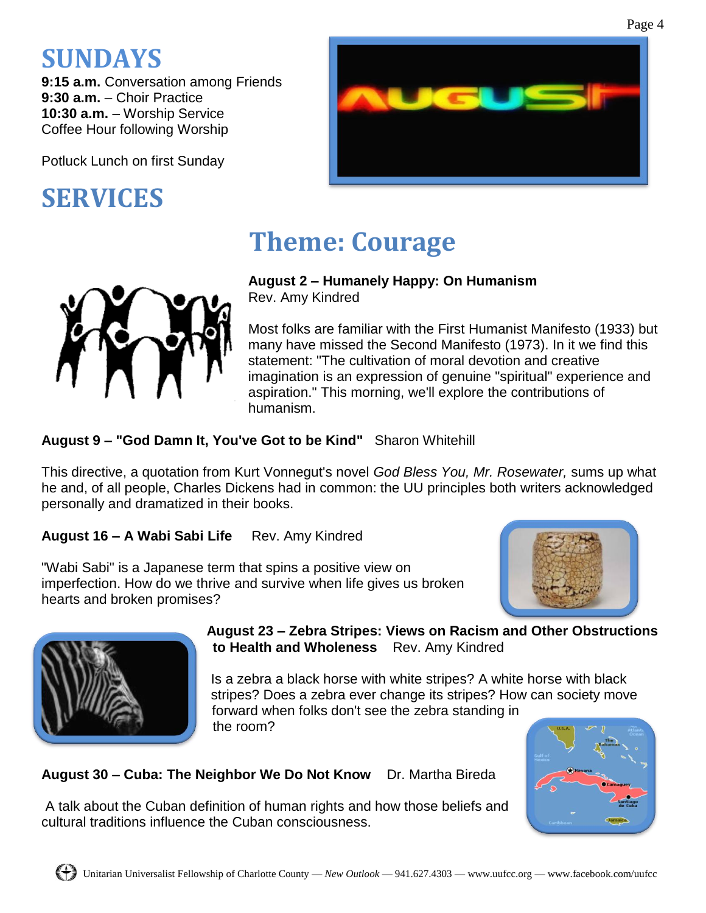## **SUNDAYS**

**9:15 a.m.** Conversation among Friends **9:30 a.m.** – Choir Practice **10:30 a.m.** – Worship Service Coffee Hour following Worship

Potluck Lunch on first Sunday

## **SERVICES**



Page 4

## **Theme: Courage**

#### **August 2 – Humanely Happy: On Humanism**

Rev. Amy Kindred

Most folks are familiar with the First Humanist Manifesto (1933) but many have missed the Second Manifesto (1973). In it we find this statement: "The cultivation of moral devotion and creative imagination is an expression of genuine "spiritual" experience and aspiration." This morning, we'll explore the contributions of humanism.

#### **August 9 – "God Damn It, You've Got to be Kind"** Sharon Whitehill

This directive, a quotation from Kurt Vonnegut's novel *God Bless You, Mr. Rosewater,* sums up what he and, of all people, Charles Dickens had in common: the UU principles both writers acknowledged personally and dramatized in their books.

**August 16 – A Wabi Sabi Life** Rev. Amy Kindred

"Wabi Sabi" is a Japanese term that spins a positive view on imperfection. How do we thrive and survive when life gives us broken hearts and broken promises?





#### **August 23 – Zebra Stripes: Views on Racism and Other Obstructions to Health and Wholeness** Rev. Amy Kindred

Is a zebra a black horse with white stripes? A white horse with black stripes? Does a zebra ever change its stripes? How can society move forward when folks don't see the zebra standing in the room?

**August 30 – Cuba: The Neighbor We Do Not Know** Dr. Martha Bireda

A talk about the Cuban definition of human rights and how those beliefs and cultural traditions influence the Cuban consciousness.

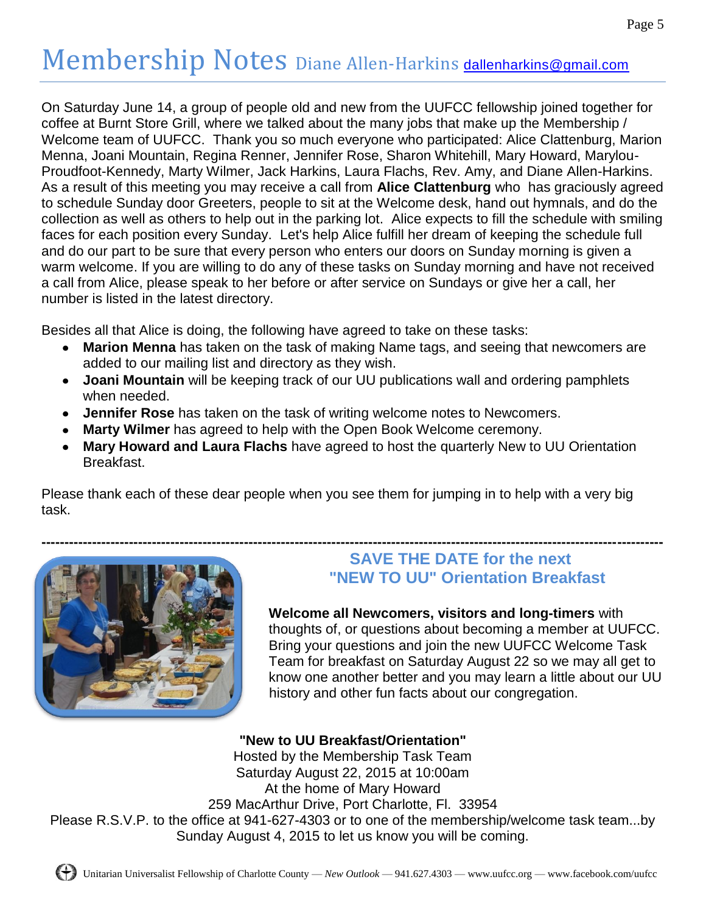## Membership Notes Diane Allen-Harkins [dallenharkins@gmail.com](mailto:dallenharkins@gmail.com)

On Saturday June 14, a group of people old and new from the UUFCC fellowship joined together for coffee at Burnt Store Grill, where we talked about the many jobs that make up the Membership / Welcome team of UUFCC. Thank you so much everyone who participated: Alice Clattenburg, Marion Menna, Joani Mountain, Regina Renner, Jennifer Rose, Sharon Whitehill, Mary Howard, Marylou-Proudfoot-Kennedy, Marty Wilmer, Jack Harkins, Laura Flachs, Rev. Amy, and Diane Allen-Harkins. As a result of this meeting you may receive a call from **Alice Clattenburg** who has graciously agreed to schedule Sunday door Greeters, people to sit at the Welcome desk, hand out hymnals, and do the collection as well as others to help out in the parking lot. Alice expects to fill the schedule with smiling faces for each position every Sunday. Let's help Alice fulfill her dream of keeping the schedule full and do our part to be sure that every person who enters our doors on Sunday morning is given a warm welcome. If you are willing to do any of these tasks on Sunday morning and have not received a call from Alice, please speak to her before or after service on Sundays or give her a call, her number is listed in the latest directory.

Besides all that Alice is doing, the following have agreed to take on these tasks:

- **Marion Menna** has taken on the task of making Name tags, and seeing that newcomers are  $\bullet$ added to our mailing list and directory as they wish.
- **Joani Mountain** will be keeping track of our UU publications wall and ordering pamphlets when needed.
- **Jennifer Rose** has taken on the task of writing welcome notes to Newcomers.
- **Marty Wilmer** has agreed to help with the Open Book Welcome ceremony.
- **Mary Howard and Laura Flachs** have agreed to host the quarterly New to UU Orientation Breakfast.

Please thank each of these dear people when you see them for jumping in to help with a very big task.



#### **SAVE THE DATE for the next "NEW TO UU" Orientation Breakfast**

**Welcome all Newcomers, visitors and long-timers** with thoughts of, or questions about becoming a member at UUFCC. Bring your questions and join the new UUFCC Welcome Task Team for breakfast on Saturday August 22 so we may all get to know one another better and you may learn a little about our UU history and other fun facts about our congregation.

**"New to UU Breakfast/Orientation"** Hosted by the Membership Task Team Saturday August 22, 2015 at 10:00am At the home of Mary Howard 259 MacArthur Drive, Port Charlotte, Fl. 33954 Please R.S.V.P. to the office at 941-627-4303 or to one of the membership/welcome task team...by Sunday August 4, 2015 to let us know you will be coming.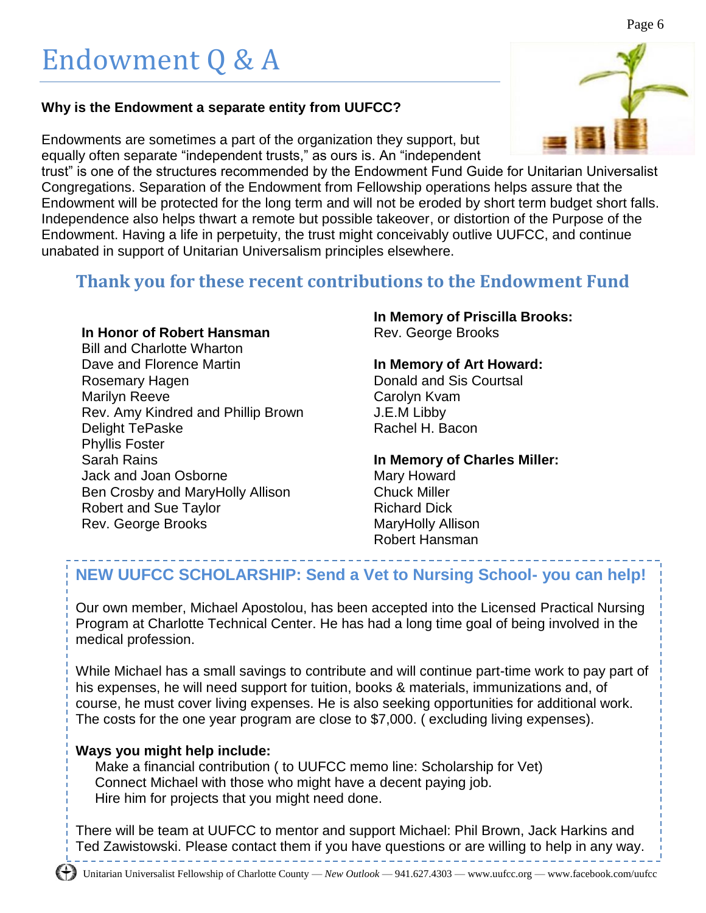#### **Why is the Endowment a separate entity from UUFCC?**

Endowments are sometimes a part of the organization they support, but equally often separate "independent trusts," as ours is. An "independent

trust" is one of the structures recommended by the Endowment Fund Guide for Unitarian Universalist Congregations. Separation of the Endowment from Fellowship operations helps assure that the Endowment will be protected for the long term and will not be eroded by short term budget short falls. Independence also helps thwart a remote but possible takeover, or distortion of the Purpose of the Endowment. Having a life in perpetuity, the trust might conceivably outlive UUFCC, and continue unabated in support of Unitarian Universalism principles elsewhere.

#### **Thank you for these recent contributions to the Endowment Fund**

#### **In Honor of Robert Hansman**

Bill and Charlotte Wharton Dave and Florence Martin Rosemary Hagen Marilyn Reeve Rev. Amy Kindred and Phillip Brown Delight TePaske Phyllis Foster Sarah Rains Jack and Joan Osborne Ben Crosby and MaryHolly Allison Robert and Sue Taylor Rev. George Brooks

#### **In Memory of Priscilla Brooks:** Rev. George Brooks

**In Memory of Art Howard:** Donald and Sis Courtsal Carolyn Kvam J.E.M Libby Rachel H. Bacon

**In Memory of Charles Miller:** Mary Howard Chuck Miller Richard Dick MaryHolly Allison Robert Hansman

#### **NEW UUFCC SCHOLARSHIP: Send a Vet to Nursing School- you can help!**

Our own member, Michael Apostolou, has been accepted into the Licensed Practical Nursing Program at Charlotte Technical Center. He has had a long time goal of being involved in the medical profession.

While Michael has a small savings to contribute and will continue part-time work to pay part of his expenses, he will need support for tuition, books & materials, immunizations and, of course, he must cover living expenses. He is also seeking opportunities for additional work. The costs for the one year program are close to \$7,000. ( excluding living expenses).

#### **Ways you might help include:**

Make a financial contribution ( to UUFCC memo line: Scholarship for Vet) Connect Michael with those who might have a decent paying job. Hire him for projects that you might need done.

There will be team at UUFCC to mentor and support Michael: Phil Brown, Jack Harkins and Ted Zawistowski. Please contact them if you have questions or are willing to help in any way.

#### Page 6

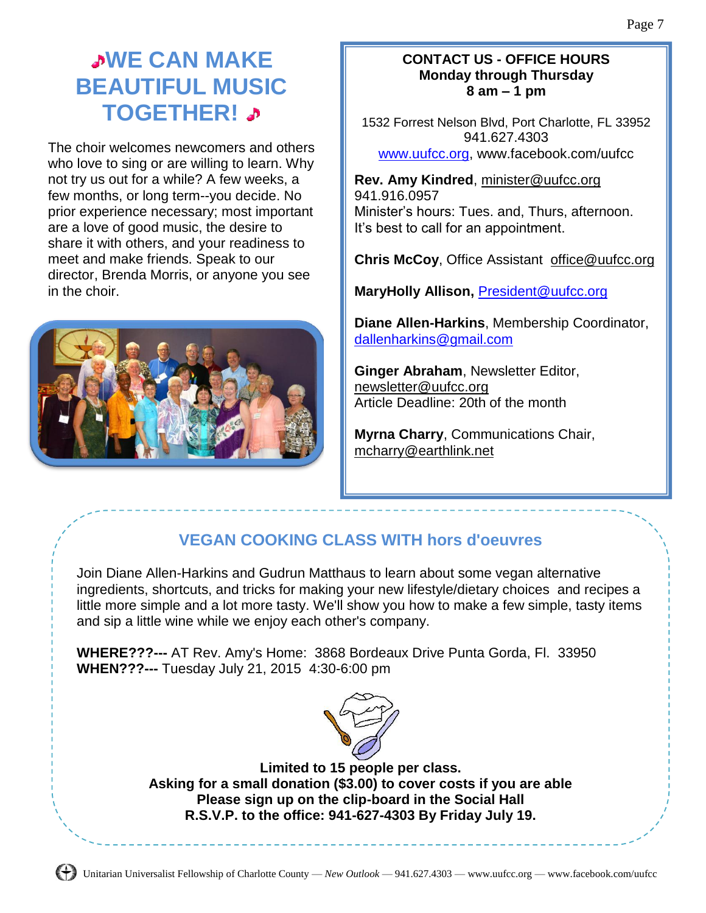### **WWE CAN MAKE BEAUTIFUL MUSIC TOGETHER!**

The choir welcomes newcomers and others who love to sing or are willing to learn. Why not try us out for a while? A few weeks, a few months, or long term--you decide. No prior experience necessary; most important are a love of good music, the desire to share it with others, and your readiness to meet and make friends. Speak to our director, Brenda Morris, or anyone you see in the choir.



#### **CONTACT US - OFFICE HOURS Monday through Thursday 8 am – 1 pm**

1532 Forrest Nelson Blvd, Port Charlotte, FL 33952 941.627.4303 [www.uufcc.org,](http://www.uufcc.org/) www.facebook.com/uufcc

**Rev. Amy Kindred**, minister@uufcc.org 941.916.0957 Minister's hours: Tues. and, Thurs, afternoon. It's best to call for an appointment.

**Chris McCoy, Office Assistant [office@uufcc.org](mailto:office@uufcc.org)** 

**MaryHolly Allison,** [President@uufcc.org](mailto:President@uufcc.org)

**Diane Allen-Harkins**, Membership Coordinator, [dallenharkins@gmail.com](mailto:dallenharkins@gmail.com)

**Ginger Abraham**, Newsletter Editor, newsletter@uufcc.org Article Deadline: 20th of the month

**Myrna Charry**, Communications Chair, mcharry@earthlink.net

### **VEGAN COOKING CLASS WITH hors d'oeuvres**

Join Diane Allen-Harkins and Gudrun Matthaus to learn about some vegan alternative ingredients, shortcuts, and tricks for making your new lifestyle/dietary choices and recipes a little more simple and a lot more tasty. We'll show you how to make a few simple, tasty items and sip a little wine while we enjoy each other's company.

**WHERE???---** AT Rev. Amy's Home: 3868 Bordeaux Drive Punta Gorda, Fl. 33950 **WHEN???---** Tuesday July 21, 2015 4:30-6:00 pm



**Limited to 15 people per class. Asking for a small donation (\$3.00) to cover costs if you are able Please sign up on the clip-board in the Social Hall R.S.V.P. to the office: 941-627-4303 By Friday July 19.**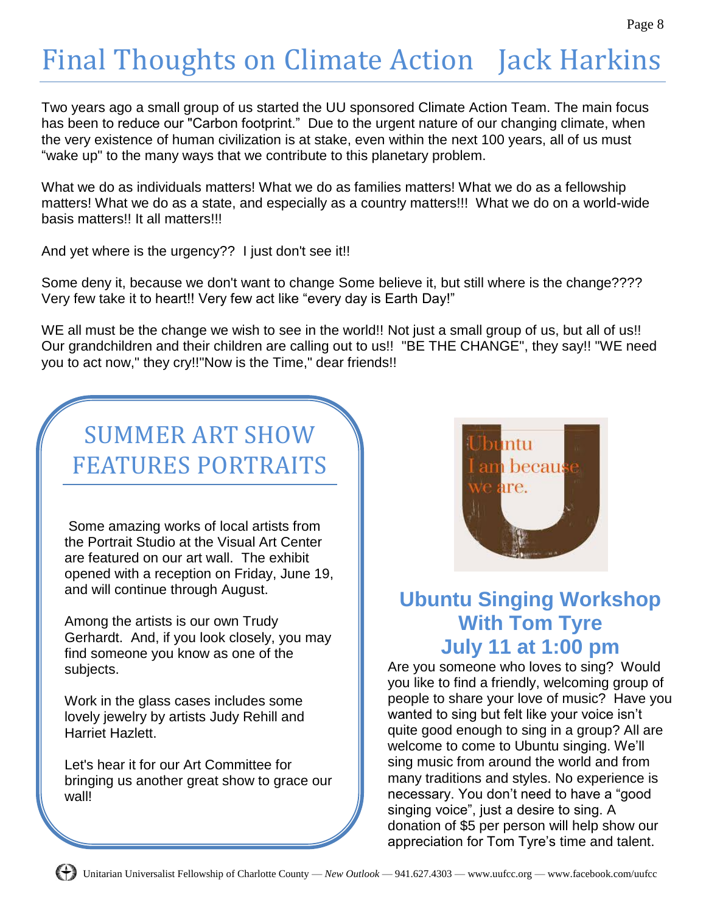## Final Thoughts on Climate Action Jack Harkins

Two years ago a small group of us started the UU sponsored Climate Action Team. The main focus has been to reduce our "Carbon footprint." Due to the urgent nature of our changing climate, when the very existence of human civilization is at stake, even within the next 100 years, all of us must "wake up" to the many ways that we contribute to this planetary problem.

What we do as individuals matters! What we do as families matters! What we do as a fellowship matters! What we do as a state, and especially as a country matters!!! What we do on a world-wide basis matters!! It all matters!!!

And yet where is the urgency?? I just don't see it!!

Some deny it, because we don't want to change Some believe it, but still where is the change???? Very few take it to heart!! Very few act like "every day is Earth Day!"

WE all must be the change we wish to see in the world!! Not just a small group of us, but all of us!! Our grandchildren and their children are calling out to us!! "BE THE CHANGE", they say!! "WE need you to act now," they cry!!"Now is the Time," dear friends!!

## SUMMER ART SHOW FEATURES PORTRAITS

Some amazing works of local artists from the Portrait Studio at the Visual Art Center are featured on our art wall. The exhibit opened with a reception on Friday, June 19, and will continue through August.

Among the artists is our own Trudy Gerhardt. And, if you look closely, you may find someone you know as one of the subjects.

Work in the glass cases includes some lovely jewelry by artists Judy Rehill and Harriet Hazlett.

Let's hear it for our Art Committee for bringing us another great show to grace our wall!



### **Ubuntu Singing Workshop With Tom Tyre July 11 at 1:00 pm**

Are you someone who loves to sing? Would you like to find a friendly, welcoming group of people to share your love of music? Have you wanted to sing but felt like your voice isn't quite good enough to sing in a group? All are welcome to come to Ubuntu singing. We'll sing music from around the world and from many traditions and styles. No experience is necessary. You don't need to have a "good singing voice", just a desire to sing. A donation of \$5 per person will help show our appreciation for Tom Tyre's time and talent.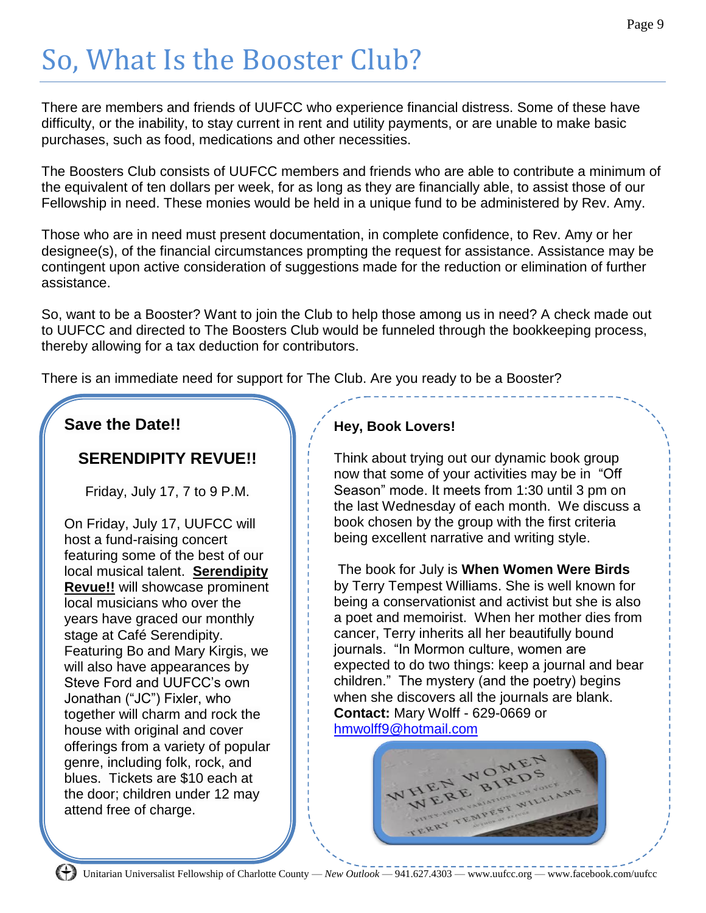## So, What Is the Booster Club?

There are members and friends of UUFCC who experience financial distress. Some of these have difficulty, or the inability, to stay current in rent and utility payments, or are unable to make basic purchases, such as food, medications and other necessities.

The Boosters Club consists of UUFCC members and friends who are able to contribute a minimum of the equivalent of ten dollars per week, for as long as they are financially able, to assist those of our Fellowship in need. These monies would be held in a unique fund to be administered by Rev. Amy.

Those who are in need must present documentation, in complete confidence, to Rev. Amy or her designee(s), of the financial circumstances prompting the request for assistance. Assistance may be contingent upon active consideration of suggestions made for the reduction or elimination of further assistance.

So, want to be a Booster? Want to join the Club to help those among us in need? A check made out to UUFCC and directed to The Boosters Club would be funneled through the bookkeeping process, thereby allowing for a tax deduction for contributors.

There is an immediate need for support for The Club. Are you ready to be a Booster?

#### **Save the Date!!**

#### **SERENDIPITY REVUE!!**

Friday, July 17, 7 to 9 P.M.

On Friday, July 17, UUFCC will host a fund-raising concert featuring some of the best of our local musical talent. **Serendipity Revue!!** will showcase prominent local musicians who over the years have graced our monthly stage at Café Serendipity. Featuring Bo and Mary Kirgis, we will also have appearances by Steve Ford and UUFCC's own Jonathan ("JC") Fixler, who together will charm and rock the house with original and cover offerings from a variety of popular genre, including folk, rock, and blues. Tickets are \$10 each at the door; children under 12 may attend free of charge.

#### **Hey, Book Lovers!**

Think about trying out our dynamic book group now that some of your activities may be in "Off Season" mode. It meets from 1:30 until 3 pm on the last Wednesday of each month. We discuss a book chosen by the group with the first criteria being excellent narrative and writing style.

The book for July is **When Women Were Birds** by Terry Tempest Williams. She is well known for being a conservationist and activist but she is also a poet and memoirist. When her mother dies from cancer, Terry inherits all her beautifully bound journals. "In Mormon culture, women are expected to do two things: keep a journal and bear children." The mystery (and the poetry) begins when she discovers all the journals are blank. **Contact:** Mary Wolff - 629-0669 or [hmwolff9@hotmail.com](mailto:hmwolff9@hotmail.com)